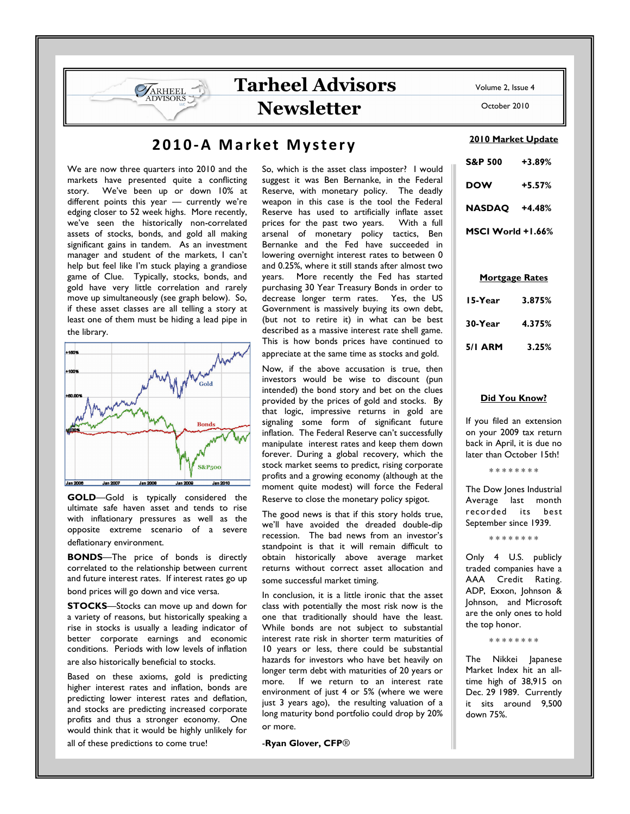October 2010

# 2010-A Market Mystery

Tarheel Advisors

Newsletter

We are now three quarters into 2010 and the markets have presented quite a conflicting story. We've been up or down 10% at different points this year — currently we're edging closer to 52 week highs. More recently, we've seen the historically non-correlated assets of stocks, bonds, and gold all making significant gains in tandem. As an investment manager and student of the markets, I can't help but feel like I'm stuck playing a grandiose game of Clue. Typically, stocks, bonds, and gold have very little correlation and rarely move up simultaneously (see graph below). So, if these asset classes are all telling a story at least one of them must be hiding a lead pipe in the library.

ARHEEL **DVISORS** 



GOLD-Gold is typically considered the ultimate safe haven asset and tends to rise with inflationary pressures as well as the opposite extreme scenario of a severe deflationary environment.

BONDS—The price of bonds is directly correlated to the relationship between current and future interest rates. If interest rates go up bond prices will go down and vice versa.

**STOCKS**-Stocks can move up and down for a variety of reasons, but historically speaking a rise in stocks is usually a leading indicator of better corporate earnings and economic conditions. Periods with low levels of inflation are also historically beneficial to stocks.

Based on these axioms, gold is predicting higher interest rates and inflation, bonds are predicting lower interest rates and deflation, and stocks are predicting increased corporate profits and thus a stronger economy. One would think that it would be highly unlikely for

all of these predictions to come true!

So, which is the asset class imposter? I would suggest it was Ben Bernanke, in the Federal Reserve, with monetary policy. The deadly weapon in this case is the tool the Federal Reserve has used to artificially inflate asset<br>prices for the past two years. With a full prices for the past two years. arsenal of monetary policy tactics, Ben Bernanke and the Fed have succeeded in lowering overnight interest rates to between 0 and 0.25%, where it still stands after almost two years. More recently the Fed has started purchasing 30 Year Treasury Bonds in order to decrease longer term rates. Yes, the US Government is massively buying its own debt, (but not to retire it) in what can be best described as a massive interest rate shell game. This is how bonds prices have continued to appreciate at the same time as stocks and gold.

Now, if the above accusation is true, then investors would be wise to discount (pun intended) the bond story and bet on the clues provided by the prices of gold and stocks. By that logic, impressive returns in gold are signaling some form of significant future inflation. The Federal Reserve can't successfully manipulate interest rates and keep them down forever. During a global recovery, which the stock market seems to predict, rising corporate profits and a growing economy (although at the moment quite modest) will force the Federal

Reserve to close the monetary policy spigot.

The good news is that if this story holds true, we'll have avoided the dreaded double-dip recession. The bad news from an investor's standpoint is that it will remain difficult to obtain historically above average market returns without correct asset allocation and some successful market timing.

In conclusion, it is a little ironic that the asset class with potentially the most risk now is the one that traditionally should have the least. While bonds are not subject to substantial interest rate risk in shorter term maturities of 10 years or less, there could be substantial hazards for investors who have bet heavily on longer term debt with maturities of 20 years or more. If we return to an interest rate environment of just 4 or 5% (where we were just 3 years ago), the resulting valuation of a long maturity bond portfolio could drop by 20% or more.

-Ryan Glover, CFP®

#### 2010 Market Update

| <b>S&amp;P 500</b> | $+3.89%$ |
|--------------------|----------|
| DOW                | $+5.57%$ |
| <b>NASDAQ</b>      | $+4.48%$ |
| MSCI World +1.66%  |          |

## Mortgage Rates

| 15-Year        | 3.875% |
|----------------|--------|
| 30-Year        | 4.375% |
| <b>5/1 ARM</b> | 3.25%  |

### Did You Know?

If you filed an extension on your 2009 tax return back in April, it is due no later than October 15th!

\* \* \* \* \* \* \* \*

The Dow Jones Industrial Average last month recorded its best September since 1939.

\* \* \* \* \* \* \* \*

Only 4 U.S. publicly traded companies have a AAA Credit Rating. ADP, Exxon, Johnson & Johnson, and Microsoft are the only ones to hold the top honor.

\* \* \* \* \* \* \* \*

The Nikkei Japanese Market Index hit an alltime high of 38,915 on Dec. 29 1989. Currently it sits around 9,500 down 75%.